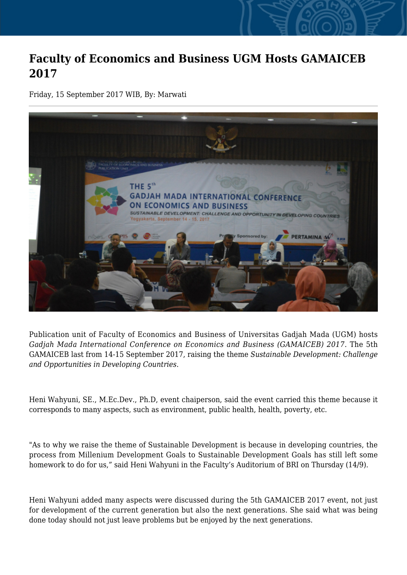## **Faculty of Economics and Business UGM Hosts GAMAICEB 2017**

Friday, 15 September 2017 WIB, By: Marwati



Publication unit of Faculty of Economics and Business of Universitas Gadjah Mada (UGM) hosts *Gadjah Mada International Conference on Economics and Business (GAMAICEB) 2017*. The 5th GAMAICEB last from 14-15 September 2017, raising the theme *Sustainable Development: Challenge and Opportunities in Developing Countries*.

Heni Wahyuni, SE., M.Ec.Dev., Ph.D, event chaiperson, said the event carried this theme because it corresponds to many aspects, such as environment, public health, health, poverty, etc.

"As to why we raise the theme of Sustainable Development is because in developing countries, the process from Millenium Development Goals to Sustainable Development Goals has still left some homework to do for us," said Heni Wahyuni in the Faculty's Auditorium of BRI on Thursday (14/9).

Heni Wahyuni added many aspects were discussed during the 5th GAMAICEB 2017 event, not just for development of the current generation but also the next generations. She said what was being done today should not just leave problems but be enjoyed by the next generations.